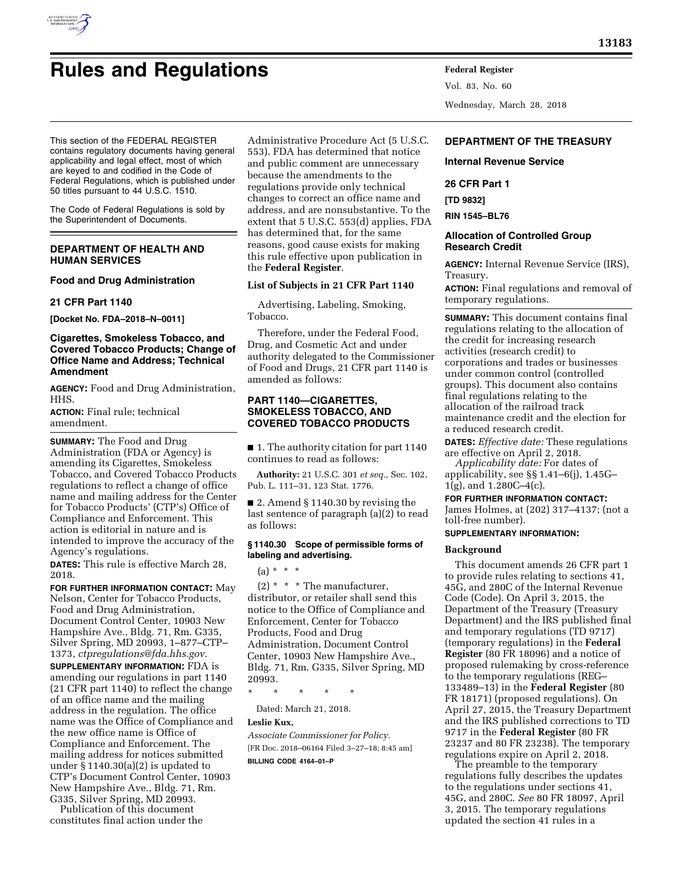

# **Rules and Regulations Federal Register**

This section of the FEDERAL REGISTER contains regulatory documents having general applicability and legal effect, most of which are keyed to and codified in the Code of Federal Regulations, which is published under

The Code of Federal Regulations is sold by the Superintendent of Documents.

# **DEPARTMENT OF HEALTH AND HUMAN SERVICES**

50 titles pursuant to 44 U.S.C. 1510.

# **Food and Drug Administration**

#### **21 CFR Part 1140**

**[Docket No. FDA–2018–N–0011]** 

# **Cigarettes, Smokeless Tobacco, and Covered Tobacco Products; Change of Office Name and Address; Technical Amendment**

**AGENCY:** Food and Drug Administration, HHS.

**ACTION:** Final rule; technical amendment.

**SUMMARY:** The Food and Drug Administration (FDA or Agency) is amending its Cigarettes, Smokeless Tobacco, and Covered Tobacco Products regulations to reflect a change of office name and mailing address for the Center for Tobacco Products' (CTP's) Office of Compliance and Enforcement. This action is editorial in nature and is intended to improve the accuracy of the Agency's regulations.

**DATES:** This rule is effective March 28, 2018.

**FOR FURTHER INFORMATION CONTACT:** May Nelson, Center for Tobacco Products, Food and Drug Administration, Document Control Center, 10903 New Hampshire Ave., Bldg. 71, Rm. G335, Silver Spring, MD 20993, 1–877–CTP– 1373, *[ctpregulations@fda.hhs.gov.](mailto:ctpregulations@fda.hhs.gov)*  **SUPPLEMENTARY INFORMATION:** FDA is amending our regulations in part 1140 (21 CFR part 1140) to reflect the change of an office name and the mailing address in the regulation. The office name was the Office of Compliance and the new office name is Office of Compliance and Enforcement. The mailing address for notices submitted under  $\S 1140.30(a)(2)$  is updated to CTP's Document Control Center, 10903 New Hampshire Ave., Bldg. 71, Rm. G335, Silver Spring, MD 20993.

Publication of this document constitutes final action under the Administrative Procedure Act (5 U.S.C. 553). FDA has determined that notice and public comment are unnecessary because the amendments to the regulations provide only technical changes to correct an office name and address, and are nonsubstantive. To the extent that 5 U.S.C. 553(d) applies, FDA has determined that, for the same reasons, good cause exists for making this rule effective upon publication in the **Federal Register**.

# **List of Subjects in 21 CFR Part 1140**

Advertising, Labeling, Smoking, Tobacco.

Therefore, under the Federal Food, Drug, and Cosmetic Act and under authority delegated to the Commissioner of Food and Drugs, 21 CFR part 1140 is amended as follows:

# **PART 1140—CIGARETTES, SMOKELESS TOBACCO, AND COVERED TOBACCO PRODUCTS**

■ 1. The authority citation for part 1140 continues to read as follows:

**Authority:** 21 U.S.C. 301 *et seq.,* Sec. 102, Pub. L. 111–31, 123 Stat. 1776.

■ 2. Amend § 1140.30 by revising the last sentence of paragraph (a)(2) to read as follows:

# **§ 1140.30 Scope of permissible forms of labeling and advertising.**

 $(a) * * * *$ 

 $(2)$  \* \* \* The manufacturer, distributor, or retailer shall send this notice to the Office of Compliance and Enforcement, Center for Tobacco Products, Food and Drug Administration, Document Control Center, 10903 New Hampshire Ave., Bldg. 71, Rm. G335, Silver Spring, MD 20993.

\* \* \* \* \*

Dated: March 21, 2018.

# **Leslie Kux,**

*Associate Commissioner for Policy.*  [FR Doc. 2018–06164 Filed 3–27–18; 8:45 am] **BILLING CODE 4164–01–P** 

Vol. 83, No. 60 Wednesday, March 28, 2018

# **DEPARTMENT OF THE TREASURY**

#### **Internal Revenue Service**

# **26 CFR Part 1**

**[TD 9832]** 

**RIN 1545–BL76** 

# **Allocation of Controlled Group Research Credit**

**AGENCY:** Internal Revenue Service (IRS), Treasury.

**ACTION:** Final regulations and removal of temporary regulations.

**SUMMARY:** This document contains final regulations relating to the allocation of the credit for increasing research activities (research credit) to corporations and trades or businesses under common control (controlled groups). This document also contains final regulations relating to the allocation of the railroad track maintenance credit and the election for a reduced research credit.

**DATES:** *Effective date:* These regulations are effective on April 2, 2018.

*Applicability date:* For dates of applicability, see §§ 1.41–6(j), 1.45G–  $1(g)$ , and  $1.280C-4(c)$ .

#### **FOR FURTHER INFORMATION CONTACT:**

James Holmes, at (202) 317–4137; (not a toll-free number).

# **SUPPLEMENTARY INFORMATION:**

# **Background**

This document amends 26 CFR part 1 to provide rules relating to sections 41, 45G, and 280C of the Internal Revenue Code (Code). On April 3, 2015, the Department of the Treasury (Treasury Department) and the IRS published final and temporary regulations (TD 9717) (temporary regulations) in the **Federal Register** (80 FR 18096) and a notice of proposed rulemaking by cross-reference to the temporary regulations (REG– 133489–13) in the **Federal Register** (80 FR 18171) (proposed regulations). On April 27, 2015, the Treasury Department and the IRS published corrections to TD 9717 in the **Federal Register** (80 FR 23237 and 80 FR 23238). The temporary regulations expire on April 2, 2018.

The preamble to the temporary regulations fully describes the updates to the regulations under sections 41, 45G, and 280C. *See* 80 FR 18097, April 3, 2015. The temporary regulations updated the section 41 rules in a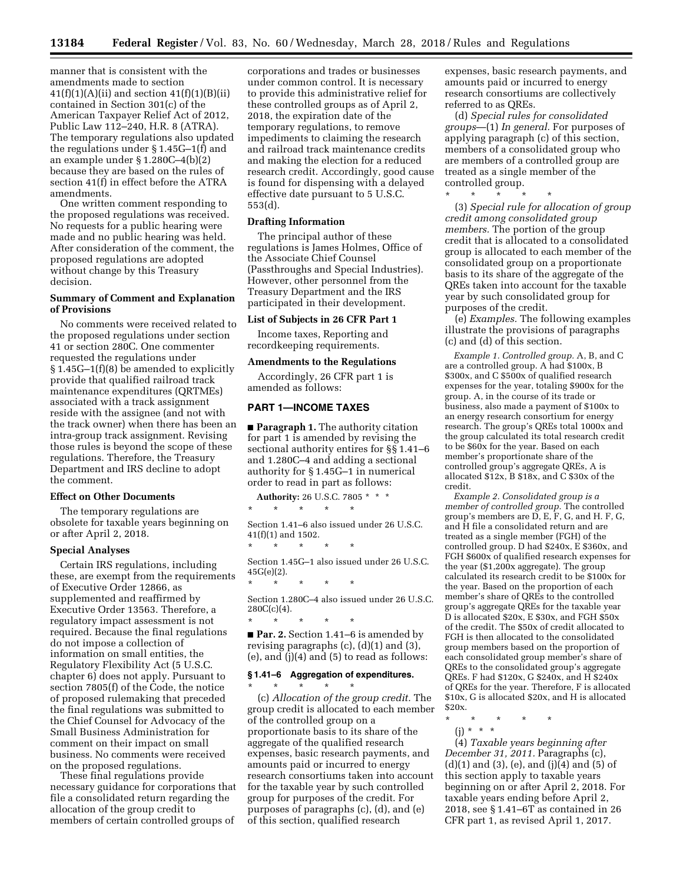manner that is consistent with the amendments made to section  $41(f)(1)(A)(ii)$  and section  $41(f)(1)(B)(ii)$ contained in Section 301(c) of the American Taxpayer Relief Act of 2012, Public Law 112–240, H.R. 8 (ATRA). The temporary regulations also updated the regulations under § 1.45G–1(f) and an example under § 1.280C–4(b)(2) because they are based on the rules of section 41(f) in effect before the ATRA amendments.

One written comment responding to the proposed regulations was received. No requests for a public hearing were made and no public hearing was held. After consideration of the comment, the proposed regulations are adopted without change by this Treasury decision.

## **Summary of Comment and Explanation of Provisions**

No comments were received related to the proposed regulations under section 41 or section 280C. One commenter requested the regulations under § 1.45G–1(f)(8) be amended to explicitly provide that qualified railroad track maintenance expenditures (QRTMEs) associated with a track assignment reside with the assignee (and not with the track owner) when there has been an intra-group track assignment. Revising those rules is beyond the scope of these regulations. Therefore, the Treasury Department and IRS decline to adopt the comment.

#### **Effect on Other Documents**

The temporary regulations are obsolete for taxable years beginning on or after April 2, 2018.

# **Special Analyses**

Certain IRS regulations, including these, are exempt from the requirements of Executive Order 12866, as supplemented and reaffirmed by Executive Order 13563. Therefore, a regulatory impact assessment is not required. Because the final regulations do not impose a collection of information on small entities, the Regulatory Flexibility Act (5 U.S.C. chapter 6) does not apply. Pursuant to section 7805(f) of the Code, the notice of proposed rulemaking that preceded the final regulations was submitted to the Chief Counsel for Advocacy of the Small Business Administration for comment on their impact on small business. No comments were received on the proposed regulations.

These final regulations provide necessary guidance for corporations that file a consolidated return regarding the allocation of the group credit to members of certain controlled groups of

corporations and trades or businesses under common control. It is necessary to provide this administrative relief for these controlled groups as of April 2, 2018, the expiration date of the temporary regulations, to remove impediments to claiming the research and railroad track maintenance credits and making the election for a reduced research credit. Accordingly, good cause is found for dispensing with a delayed effective date pursuant to 5 U.S.C. 553(d).

#### **Drafting Information**

The principal author of these regulations is James Holmes, Office of the Associate Chief Counsel (Passthroughs and Special Industries). However, other personnel from the Treasury Department and the IRS participated in their development.

#### **List of Subjects in 26 CFR Part 1**

Income taxes, Reporting and recordkeeping requirements.

#### **Amendments to the Regulations**

Accordingly, 26 CFR part 1 is amended as follows:

# **PART 1—INCOME TAXES**

■ **Paragraph 1.** The authority citation for part 1 is amended by revising the sectional authority entires for §§ 1.41–6 and 1.280C–4 and adding a sectional authority for § 1.45G–1 in numerical order to read in part as follows:

**Authority:** 26 U.S.C. 7805 \* \* \*

\* \* \* \* \*

\* \* \* \* \*

Section 1.41–6 also issued under 26 U.S.C. 41(f)(1) and 1502.

Section 1.45G–1 also issued under 26 U.S.C. 45G(e)(2).

\* \* \* \* \* Section 1.280C–4 also issued under 26 U.S.C.

 $280C(c)(4)$ . \* \* \* \* \*

■ **Par. 2.** Section 1.41–6 is amended by revising paragraphs (c), (d)(1) and (3), (e), and (j)(4) and (5) to read as follows:

# **§ 1.41–6 Aggregation of expenditures.**

\* \* \* \* \* (c) *Allocation of the group credit.* The group credit is allocated to each member of the controlled group on a proportionate basis to its share of the aggregate of the qualified research expenses, basic research payments, and amounts paid or incurred to energy research consortiums taken into account for the taxable year by such controlled group for purposes of the credit. For purposes of paragraphs (c), (d), and (e) of this section, qualified research

expenses, basic research payments, and amounts paid or incurred to energy research consortiums are collectively referred to as QREs.

(d) *Special rules for consolidated groups*—(1) *In general.* For purposes of applying paragraph (c) of this section, members of a consolidated group who are members of a controlled group are treated as a single member of the controlled group.

\* \* \* \* \*

(3) *Special rule for allocation of group credit among consolidated group members.* The portion of the group credit that is allocated to a consolidated group is allocated to each member of the consolidated group on a proportionate basis to its share of the aggregate of the QREs taken into account for the taxable year by such consolidated group for purposes of the credit.

(e) *Examples.* The following examples illustrate the provisions of paragraphs (c) and (d) of this section.

*Example 1. Controlled group.* A, B, and C are a controlled group. A had \$100x, B \$300x, and C \$500x of qualified research expenses for the year, totaling \$900x for the group. A, in the course of its trade or business, also made a payment of \$100x to an energy research consortium for energy research. The group's QREs total 1000x and the group calculated its total research credit to be \$60x for the year. Based on each member's proportionate share of the controlled group's aggregate QREs, A is allocated  $$12x$ ,  $B $18x$ , and C  $$30x$  of the credit.

*Example 2. Consolidated group is a member of controlled group.* The controlled group's members are D, E, F, G, and H. F, G, and H file a consolidated return and are treated as a single member (FGH) of the controlled group. D had \$240x, E \$360x, and FGH \$600x of qualified research expenses for the year (\$1,200x aggregate). The group calculated its research credit to be \$100x for the year. Based on the proportion of each member's share of QREs to the controlled group's aggregate QREs for the taxable year D is allocated \$20x, E \$30x, and FGH \$50x of the credit. The \$50x of credit allocated to FGH is then allocated to the consolidated group members based on the proportion of each consolidated group member's share of QREs to the consolidated group's aggregate QREs. F had \$120x, G \$240x, and H \$240x of QREs for the year. Therefore, F is allocated \$10x, G is allocated \$20x, and H is allocated \$20x.

\* \* \* \* \*

(j) \* \* \*

(4) *Taxable years beginning after December 31, 2011.* Paragraphs (c),  $(d)(1)$  and  $(3)$ ,  $(e)$ , and  $(j)(4)$  and  $(5)$  of this section apply to taxable years beginning on or after April 2, 2018. For taxable years ending before April 2, 2018, see § 1.41–6T as contained in 26 CFR part 1, as revised April 1, 2017.